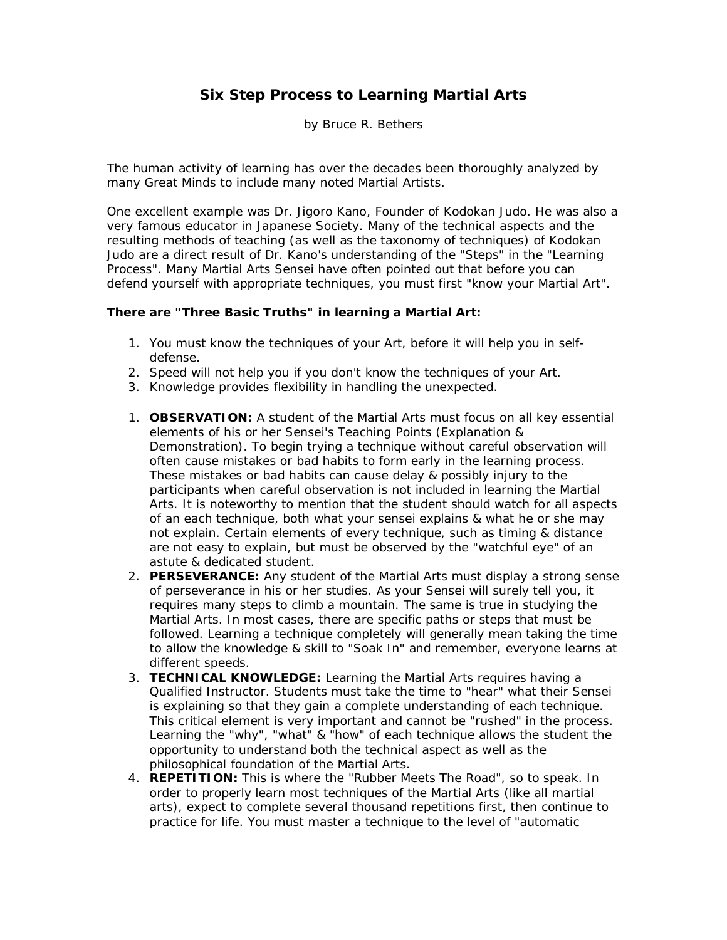## **Six Step Process to Learning Martial Arts**

## by Bruce R. Bethers

The human activity of learning has over the decades been thoroughly analyzed by many Great Minds to include many noted Martial Artists.

One excellent example was Dr. Jigoro Kano, Founder of Kodokan Judo. He was also a very famous educator in Japanese Society. Many of the technical aspects and the resulting methods of teaching (as well as the taxonomy of techniques) of Kodokan Judo are a direct result of Dr. Kano's understanding of the "Steps" in the "Learning Process". Many Martial Arts Sensei have often pointed out that before you can defend yourself with appropriate techniques, you must first "know your Martial Art".

**There are "Three Basic Truths" in learning a Martial Art:**

- 1. You must know the techniques of your Art, before it will help you in selfdefense.
- 2. Speed will not help you if you don't know the techniques of your Art.
- 3. Knowledge provides flexibility in handling the unexpected.
- 1. **OBSERVATION:** A student of the Martial Arts must focus on all key essential elements of his or her Sensei's Teaching Points (Explanation & Demonstration). To begin trying a technique without careful observation will often cause mistakes or bad habits to form early in the learning process. These mistakes or bad habits can cause delay & possibly injury to the participants when careful observation is not included in learning the Martial Arts. It is noteworthy to mention that the student should watch for all aspects of an each technique, both what your sensei explains & what he or she may not explain. Certain elements of every technique, such as timing & distance are not easy to explain, but must be observed by the "watchful eye" of an astute & dedicated student.
- 2. **PERSEVERANCE:** Any student of the Martial Arts must display a strong sense of perseverance in his or her studies. As your Sensei will surely tell you, it requires many steps to climb a mountain. The same is true in studying the Martial Arts. In most cases, there are specific paths or steps that must be followed. Learning a technique completely will generally mean taking the time to allow the knowledge & skill to "Soak In" and remember, everyone learns at different speeds.
- 3. **TECHNICAL KNOWLEDGE:** Learning the Martial Arts requires having a Qualified Instructor. Students must take the time to "hear" what their Sensei is explaining so that they gain a complete understanding of each technique. This critical element is very important and cannot be "rushed" in the process. Learning the "why", "what" & "how" of each technique allows the student the opportunity to understand both the technical aspect as well as the philosophical foundation of the Martial Arts.
- 4. **REPETITION:** This is where the "Rubber Meets The Road", so to speak. In order to properly learn most techniques of the Martial Arts (like all martial arts), expect to complete several thousand repetitions first, then continue to practice for life. You must master a technique to the level of "automatic